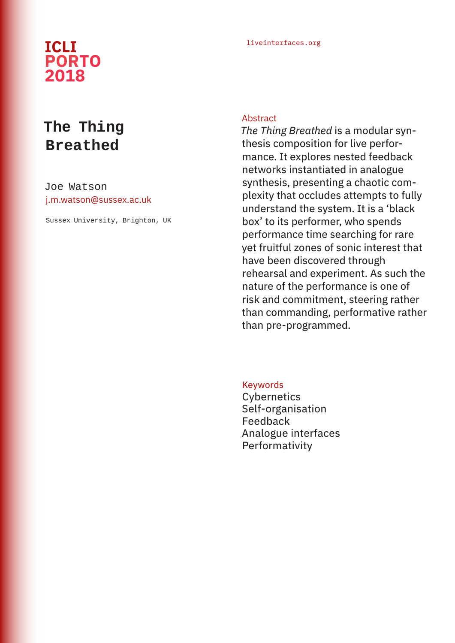## liveinterfaces.org **ICLI PORTO 2018**

# **The Thing Breathed**

Joe Watson j.m.watson@sussex.ac.uk

Sussex University, Brighton, UK

#### Abstract

*The Thing Breathed* is a modular synthesis composition for live performance. It explores nested feedback networks instantiated in analogue synthesis, presenting a chaotic complexity that occludes attempts to fully understand the system. It is a 'black box' to its performer, who spends performance time searching for rare yet fruitful zones of sonic interest that have been discovered through rehearsal and experiment. As such the nature of the performance is one of risk and commitment, steering rather than commanding, performative rather than pre-programmed.

Keywords **Cybernetics** Self-organisation Feedback Analogue interfaces Performativity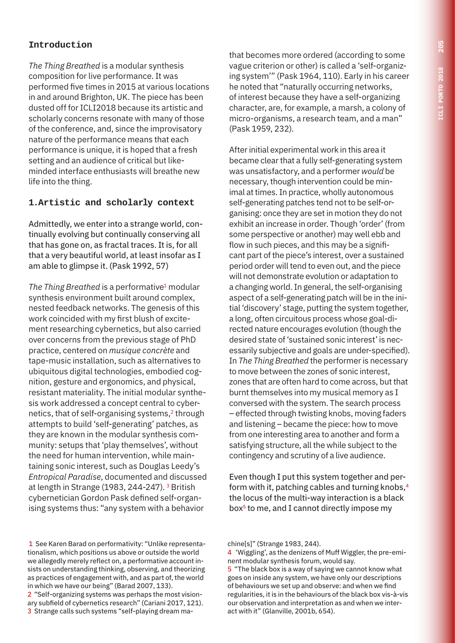### **Introduction**

*The Thing Breathed* is a modular synthesis composition for live performance. It was performed five times in 2015 at various locations in and around Brighton, UK. The piece has been dusted off for ICLI2018 because its artistic and scholarly concerns resonate with many of those of the conference, and, since the improvisatory nature of the performance means that each performance is unique, it is hoped that a fresh setting and an audience of critical but likeminded interface enthusiasts will breathe new life into the thing.

### **1.Artistic and scholarly context**

Admittedly, we enter into a strange world, continually evolving but continually conserving all that has gone on, as fractal traces. It is, for all that a very beautiful world, at least insofar as I am able to glimpse it. (Pask 1992, 57)

*The Thing Breathed* is a performative<sup>1</sup> modular synthesis environment built around complex, nested feedback networks. The genesis of this work coincided with my first blush of excitement researching cybernetics, but also carried over concerns from the previous stage of PhD practice, centered on *musique concrète* and tape-music installation, such as alternatives to ubiquitous digital technologies, embodied cognition, gesture and ergonomics, and physical, resistant materiality. The initial modular synthesis work addressed a concept central to cybernetics, that of self-organising systems,<sup>2</sup> through attempts to build 'self-generating' patches, as they are known in the modular synthesis community: setups that 'play themselves', without the need for human intervention, while maintaining sonic interest, such as Douglas Leedy's *Entropical Paradise*, documented and discussed at length in Strange (1983, 244-247). 3 British cybernetician Gordon Pask defined self-organising systems thus: "any system with a behavior

 1 See Karen Barad on performativity: "Unlike representationalism, which positions us above or outside the world we allegedly merely reflect on, a performative account insists on understanding thinking, observing, and theorizing as practices of engagement with, and as part of, the world in which we have our being" (Barad 2007, 133).

2 "Self-organizing systems was perhaps the most visionary subfield of cybernetics research" (Cariani 2017, 121). 3 Strange calls such systems "self-playing dream mathat becomes more ordered (according to some vague criterion or other) is called a 'self-organizing system'" (Pask 1964, 110). Early in his career he noted that "naturally occurring networks, of interest because they have a self-organizing character, are, for example, a marsh, a colony of micro-organisms, a research team, and a man" (Pask 1959, 232).

After initial experimental work in this area it became clear that a fully self-generating system was unsatisfactory, and a performer *would* be necessary, though intervention could be minimal at times. In practice, wholly autonomous self-generating patches tend not to be self-organising: once they are set in motion they do not exhibit an increase in order. Though 'order' (from some perspective or another) may well ebb and flow in such pieces, and this may be a significant part of the piece's interest, over a sustained period order will tend to even out, and the piece will not demonstrate evolution or adaptation to a changing world. In general, the self-organising aspect of a self-generating patch will be in the initial 'discovery' stage, putting the system together, a long, often circuitous process whose goal-directed nature encourages evolution (though the desired state of 'sustained sonic interest' is necessarily subjective and goals are under-specified). In *The Thing Breathed* the performer is necessary to move between the zones of sonic interest, zones that are often hard to come across, but that burnt themselves into my musical memory as I conversed with the system. The search process – effected through twisting knobs, moving faders and listening – became the piece: how to move from one interesting area to another and form a satisfying structure, all the while subject to the contingency and scrutiny of a live audience.

Even though I put this system together and perform with it, patching cables and turning knobs,<sup>4</sup> the locus of the multi-way interaction is a black box<sup>5</sup> to me, and I cannot directly impose my

chine[s]" (Strange 1983, 244).

<sup>4 &#</sup>x27;Wiggling', as the denizens of Muff Wiggler, the pre-eminent modular synthesis forum, would say.

<sup>5 &</sup>quot;The black box is a way of saying we cannot know what goes on inside any system, we have only our descriptions of behaviours we set up and observe: and when we find regularities, it is in the behaviours of the black box vis-à-vis our observation and interpretation as and when we interact with it" (Glanville, 2001b, 654).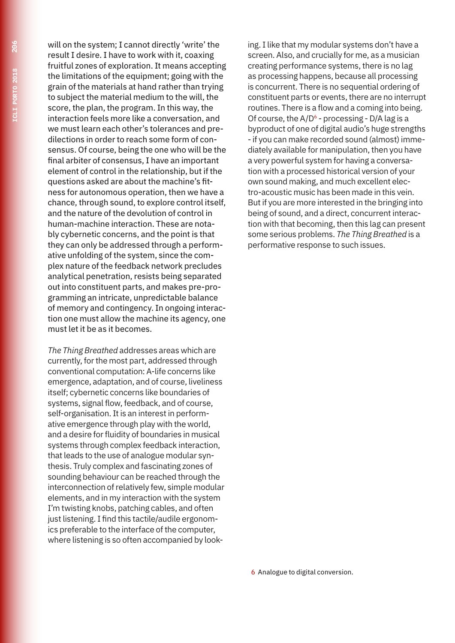will on the system; I cannot directly 'write' the result I desire. I have to work with it, coaxing fruitful zones of exploration. It means accepting the limitations of the equipment; going with the grain of the materials at hand rather than trying to subject the material medium to the will, the score, the plan, the program. In this way, the interaction feels more like a conversation, and we must learn each other's tolerances and predilections in order to reach some form of consensus. Of course, being the one who will be the final arbiter of consensus, I have an important element of control in the relationship, but if the questions asked are about the machine's fitness for autonomous operation, then we have a chance, through sound, to explore control itself, and the nature of the devolution of control in human-machine interaction. These are notably cybernetic concerns, and the point is that they can only be addressed through a performative unfolding of the system, since the complex nature of the feedback network precludes analytical penetration, resists being separated out into constituent parts, and makes pre-programming an intricate, unpredictable balance of memory and contingency. In ongoing interaction one must allow the machine its agency, one must let it be as it becomes.

*The Thing Breathed* addresses areas which are currently, for the most part, addressed through conventional computation: A-life concerns like emergence, adaptation, and of course, liveliness itself; cybernetic concerns like boundaries of systems, signal flow, feedback, and of course, self-organisation. It is an interest in performative emergence through play with the world, and a desire for fluidity of boundaries in musical systems through complex feedback interaction, that leads to the use of analogue modular synthesis. Truly complex and fascinating zones of sounding behaviour can be reached through the interconnection of relatively few, simple modular elements, and in my interaction with the system I'm twisting knobs, patching cables, and often just listening. I find this tactile/audile ergonomics preferable to the interface of the computer, where listening is so often accompanied by look-

ing. I like that my modular systems don't have a screen. Also, and crucially for me, as a musician creating performance systems, there is no lag as processing happens, because all processing is concurrent. There is no sequential ordering of constituent parts or events, there are no interrupt routines. There is a flow and a coming into being. Of course, the  $A/D^6$  - processing - D/A lag is a byproduct of one of digital audio's huge strengths - if you can make recorded sound (almost) immediately available for manipulation, then you have a very powerful system for having a conversation with a processed historical version of your own sound making, and much excellent electro-acoustic music has been made in this vein. But if you are more interested in the bringing into being of sound, and a direct, concurrent interaction with that becoming, then this lag can present some serious problems. *The Thing Breathed* is a performative response to such issues.

6 Analogue to digital conversion.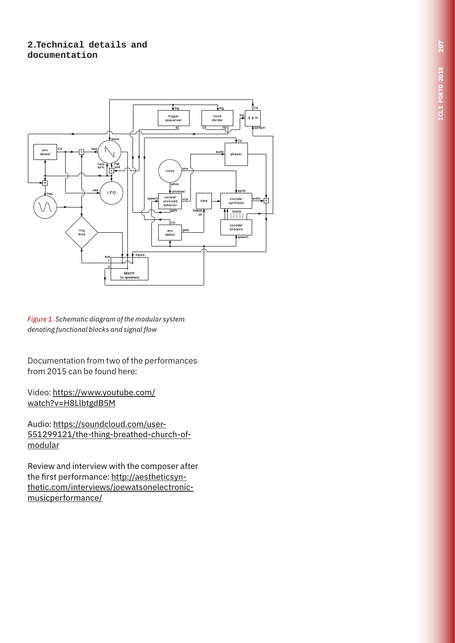#### **2.Technical details and documentation**



*Figure 1. Schematic diagram of the modular system denoting functional blocks and signal flow*

Documentation from two of the performances from 2015 can be found here:

Video: https://www.youtube.com/ watch?v=H8LlbtgdB5M

Audio: https://soundcloud.com/user-551299121/the-thing-breathed-church-ofmodular

Review and interview with the composer after the first performance: http://aestheticsynthetic.com/interviews/joewatsonelectronicmusicperformance/